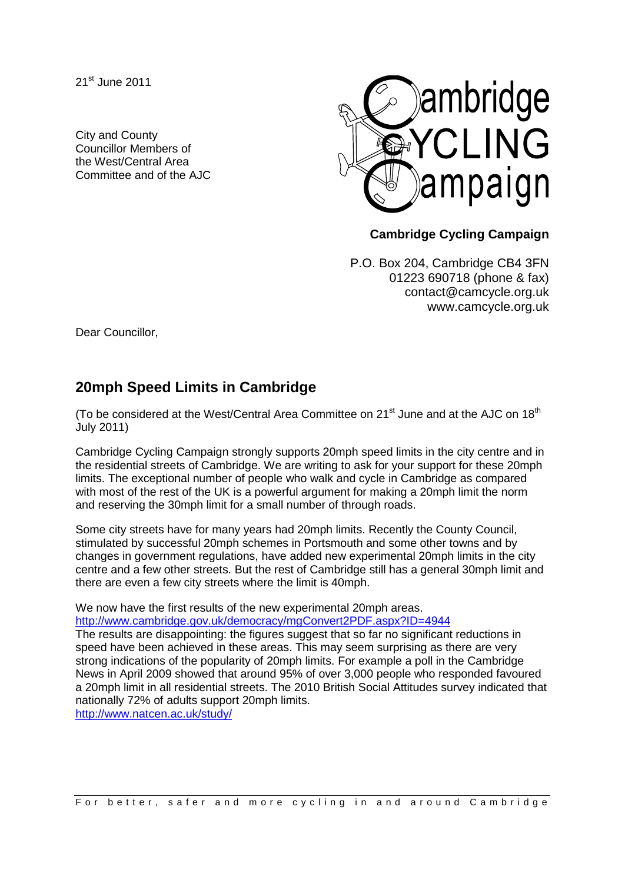21<sup>st</sup> June 2011

City and County Councillor Members of the West/Central Area Committee and of the AJC



## **Cambridge Cycling Campaign**

P.O. Box 204, Cambridge CB4 3FN 01223 690718 (phone & fax) contact@camcycle.org.uk www.camcycle.org.uk

Dear Councillor,

## **20mph Speed Limits in Cambridge**

(To be considered at the West/Central Area Committee on  $21<sup>st</sup>$  June and at the AJC on  $18<sup>th</sup>$ July 2011)

Cambridge Cycling Campaign strongly supports 20mph speed limits in the city centre and in the residential streets of Cambridge. We are writing to ask for your support for these 20mph limits. The exceptional number of people who walk and cycle in Cambridge as compared with most of the rest of the UK is a powerful argument for making a 20mph limit the norm and reserving the 30mph limit for a small number of through roads.

Some city streets have for many years had 20mph limits. Recently the County Council, stimulated by successful 20mph schemes in Portsmouth and some other towns and by changes in government regulations, have added new experimental 20mph limits in the city centre and a few other streets. But the rest of Cambridge still has a general 30mph limit and there are even a few city streets where the limit is 40mph.

We now have the first results of the new experimental 20mph areas. <http://www.cambridge.gov.uk/democracy/mgConvert2PDF.aspx?ID=4944>

The results are disappointing: the figures suggest that so far no significant reductions in speed have been achieved in these areas. This may seem surprising as there are very strong indications of the popularity of 20mph limits. For example a poll in the Cambridge News in April 2009 showed that around 95% of over 3,000 people who responded favoured a 20mph limit in all residential streets. The 2010 British Social Attitudes survey indicated that nationally 72% of adults support 20mph limits.

<http://www.natcen.ac.uk/study/>